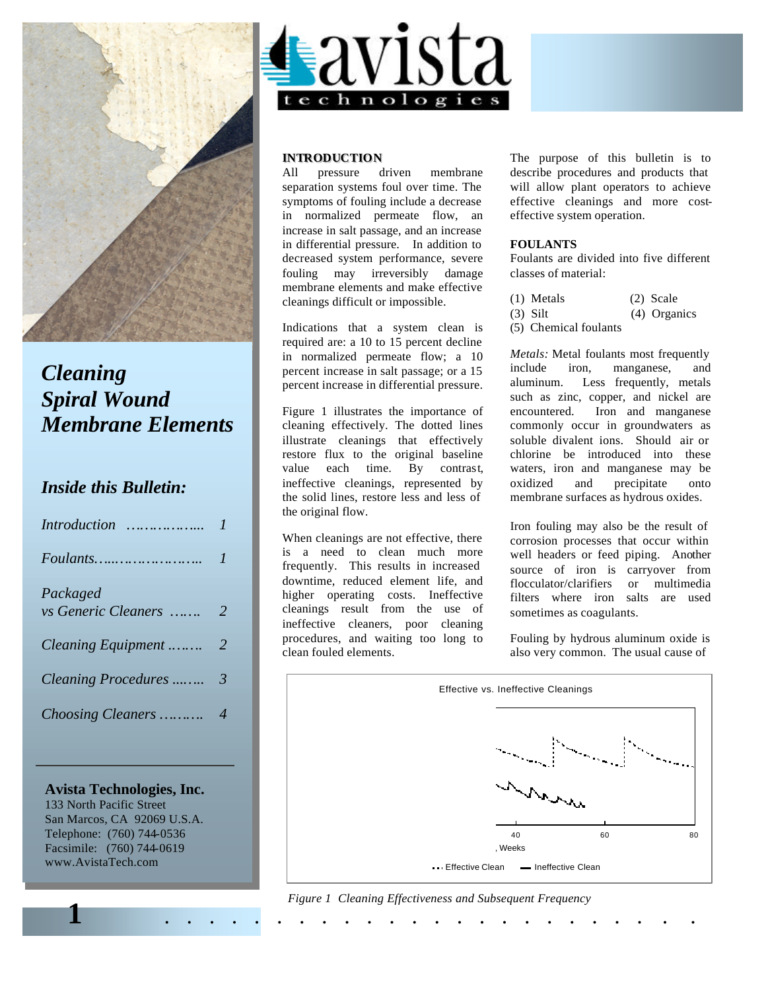

# *Cleaning Spiral Wound Membrane Elements*

# *Inside this Bulletin:*

| <i>Introduction</i> |                  |
|---------------------|------------------|
|                     | $\prime$         |
| Packaged            |                  |
| vs Generic Cleaners | - 2              |
|                     |                  |
|                     |                  |
| Choosing Cleaners   | $\boldsymbol{4}$ |

# **Avista Technologies, Inc.**

133 North Pacific Street San Marcos, CA 92069 U.S.A. Telephone: (760) 744-0536 Facsimile: (760) 744-0619 www.AvistaTech.com



# **INTRODUCTION**<br>All pressure driven

All pressure driven membrane separation systems foul over time. The symptoms of fouling include a decrease in normalized permeate flow, an increase in salt passage, and an increase in differential pressure. In addition to decreased system performance, severe fouling may irreversibly damage membrane elements and make effective cleanings difficult or impossible.

Indications that a system clean is required are: a 10 to 15 percent decline in normalized permeate flow; a 10 percent increase in salt passage; or a 15 percent increase in differential pressure.

Figure 1 illustrates the importance of cleaning effectively. The dotted lines illustrate cleanings that effectively restore flux to the original baseline value each time. By contrast, ineffective cleanings, represented by the solid lines, restore less and less of the original flow.

When cleanings are not effective, there is a need to clean much more frequently. This results in increased downtime, reduced element life, and higher operating costs. Ineffective cleanings result from the use of ineffective cleaners, poor cleaning procedures, and waiting too long to clean fouled elements.

The purpose of this bulletin is to describe procedures and products that will allow plant operators to achieve effective cleanings and more costeffective system operation.

# **FOULANTS**

Foulants are divided into five different classes of material:

|  | (1) Metals |  | $(2)$ Scale |
|--|------------|--|-------------|
|--|------------|--|-------------|

- (3) Silt (4) Organics
- (5) Chemical foulants

*Metals:* Metal foulants most frequently include iron, manganese, and aluminum. Less frequently, metals such as zinc, copper, and nickel are encountered. Iron and manganese commonly occur in groundwaters as soluble divalent ions. Should air or chlorine be introduced into these waters, iron and manganese may be oxidized and precipitate onto membrane surfaces as hydrous oxides.

Iron fouling may also be the result of corrosion processes that occur within well headers or feed piping. Another source of iron is carryover from flocculator/clarifiers or multimedia filters where iron salts are used sometimes as coagulants.

Fouling by hydrous aluminum oxide is also very common. The usual cause of



**1** . . . . . . . . . . . . . . . . . . . . . . . . *Figure 1 Cleaning Effectiveness and Subsequent Frequency*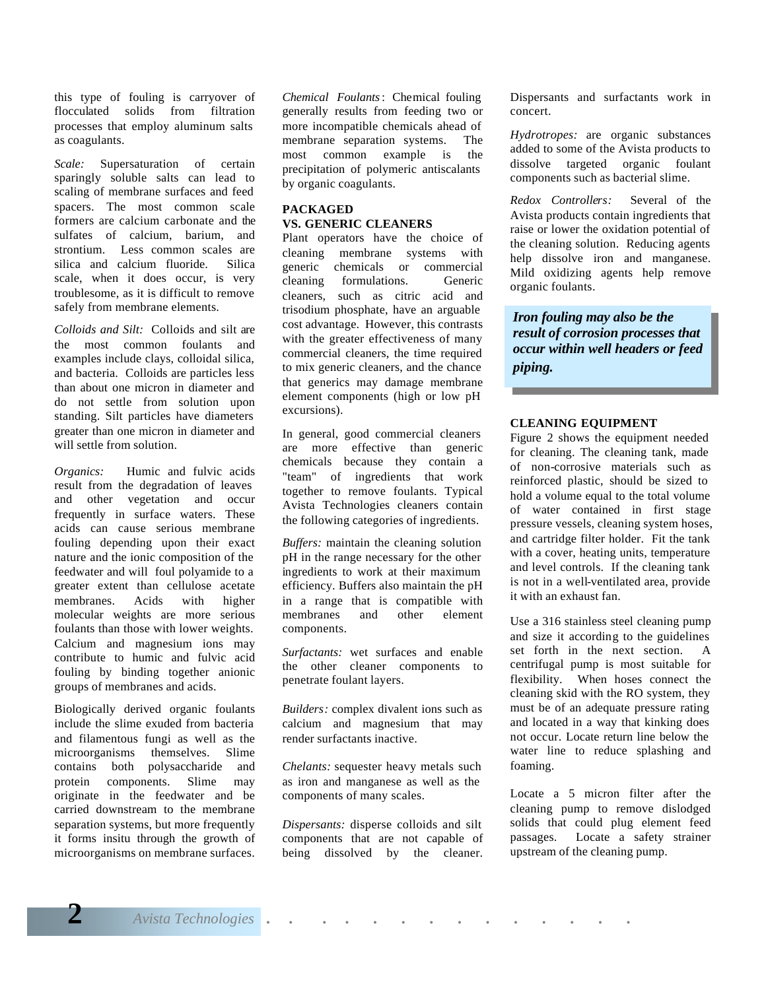this type of fouling is carryover of flocculated solids from filtration processes that employ aluminum salts as coagulants.

*Scale:* Supersaturation of certain sparingly soluble salts can lead to scaling of membrane surfaces and feed spacers. The most common scale formers are calcium carbonate and the sulfates of calcium, barium, and strontium. Less common scales are silica and calcium fluoride. Silica scale, when it does occur, is very troublesome, as it is difficult to remove safely from membrane elements.

*Colloids and Silt:* Colloids and silt are the most common foulants and examples include clays, colloidal silica, and bacteria. Colloids are particles less than about one micron in diameter and do not settle from solution upon standing. Silt particles have diameters greater than one micron in diameter and will settle from solution.

*Organics:* Humic and fulvic acids result from the degradation of leaves and other vegetation and occur frequently in surface waters. These acids can cause serious membrane fouling depending upon their exact nature and the ionic composition of the feedwater and will foul polyamide to a greater extent than cellulose acetate membranes. Acids with higher molecular weights are more serious foulants than those with lower weights. Calcium and magnesium ions may contribute to humic and fulvic acid fouling by binding together anionic groups of membranes and acids.

Biologically derived organic foulants include the slime exuded from bacteria and filamentous fungi as well as the microorganisms themselves. Slime contains both polysaccharide and protein components. Slime may originate in the feedwater and be carried downstream to the membrane separation systems, but more frequently it forms insitu through the growth of microorganisms on membrane surfaces.

*Chemical Foulants*: Chemical fouling generally results from feeding two or more incompatible chemicals ahead of membrane separation systems. The most common example is the precipitation of polymeric antiscalants by organic coagulants.

#### **PACKAGED VS. GENERIC CLEANERS**

Plant operators have the choice of cleaning membrane systems with generic chemicals or commercial cleaning formulations. Generic cleaners, such as citric acid and trisodium phosphate, have an arguable cost advantage. However, this contrasts with the greater effectiveness of many commercial cleaners, the time required to mix generic cleaners, and the chance that generics may damage membrane element components (high or low pH excursions).

In general, good commercial cleaners are more effective than generic chemicals because they contain a "team" of ingredients that work together to remove foulants. Typical Avista Technologies cleaners contain the following categories of ingredients.

*Buffers:* maintain the cleaning solution pH in the range necessary for the other ingredients to work at their maximum efficiency. Buffers also maintain the pH in a range that is compatible with membranes and other element components.

*Surfactants:* wet surfaces and enable the other cleaner components to penetrate foulant layers.

*Builders:* complex divalent ions such as calcium and magnesium that may render surfactants inactive.

*Chelants:* sequester heavy metals such as iron and manganese as well as the components of many scales.

*Dispersants:* disperse colloids and silt components that are not capable of being dissolved by the cleaner. Dispersants and surfactants work in concert.

*Hydrotropes:* are organic substances added to some of the Avista products to dissolve targeted organic foulant components such as bacterial slime.

*Redox Controllers:* Several of the Avista products contain ingredients that raise or lower the oxidation potential of the cleaning solution. Reducing agents help dissolve iron and manganese. Mild oxidizing agents help remove organic foulants.

*Iron fouling may also be the result of corrosion processes that occur within well headers or feed piping.*

### **CLEANING EQUIPMENT**

Figure 2 shows the equipment needed for cleaning. The cleaning tank, made of non-corrosive materials such as reinforced plastic, should be sized to hold a volume equal to the total volume of water contained in first stage pressure vessels, cleaning system hoses, and cartridge filter holder. Fit the tank with a cover, heating units, temperature and level controls. If the cleaning tank is not in a well-ventilated area, provide it with an exhaust fan.

Use a 316 stainless steel cleaning pump and size it according to the guidelines set forth in the next section. A centrifugal pump is most suitable for flexibility. When hoses connect the cleaning skid with the RO system, they must be of an adequate pressure rating and located in a way that kinking does not occur. Locate return line below the water line to reduce splashing and foaming.

Locate a 5 micron filter after the cleaning pump to remove dislodged solids that could plug element feed passages. Locate a safety strainer upstream of the cleaning pump.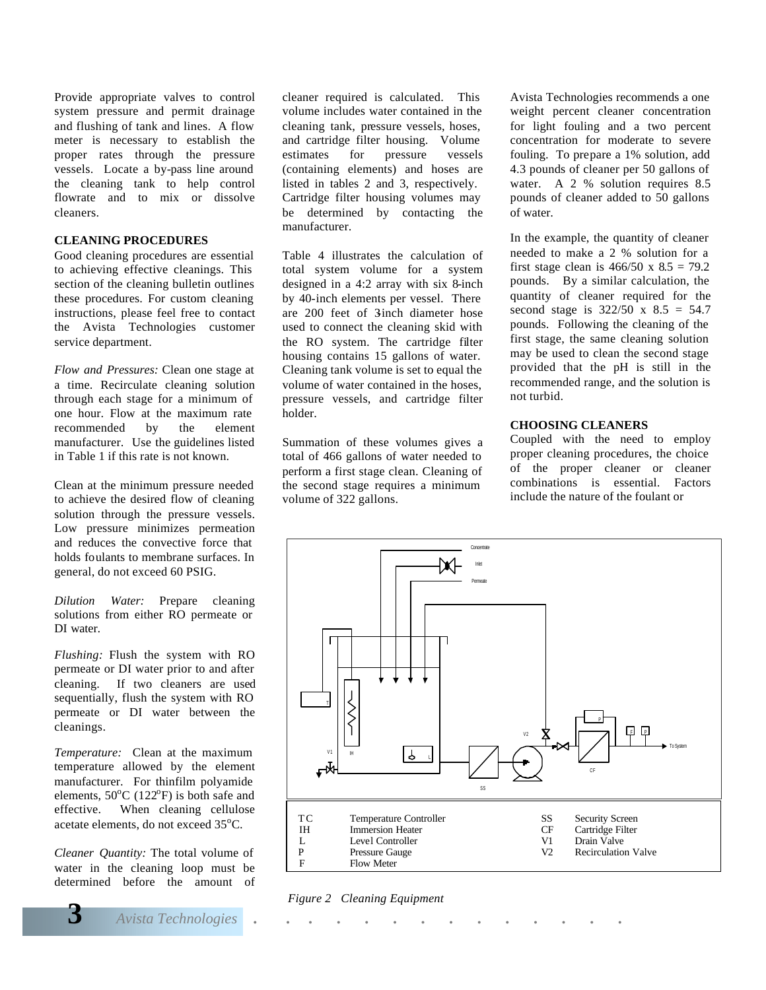Provide appropriate valves to control system pressure and permit drainage and flushing of tank and lines. A flow meter is necessary to establish the proper rates through the pressure vessels. Locate a by-pass line around the cleaning tank to help control flowrate and to mix or dissolve cleaners.

#### **CLEANING PROCEDURES**

Good cleaning procedures are essential to achieving effective cleanings. This section of the cleaning bulletin outlines these procedures. For custom cleaning instructions, please feel free to contact the Avista Technologies customer service department.

*Flow and Pressures:* Clean one stage at a time. Recirculate cleaning solution through each stage for a minimum of one hour. Flow at the maximum rate recommended by the element manufacturer. Use the guidelines listed in Table 1 if this rate is not known.

Clean at the minimum pressure needed to achieve the desired flow of cleaning solution through the pressure vessels. Low pressure minimizes permeation and reduces the convective force that holds foulants to membrane surfaces. In general, do not exceed 60 PSIG.

*Dilution Water:* Prepare cleaning solutions from either RO permeate or DI water.

*Flushing:* Flush the system with RO permeate or DI water prior to and after cleaning. If two cleaners are used sequentially, flush the system with RO permeate or DI water between the cleanings.

*Temperature:* Clean at the maximum temperature allowed by the element manufacturer. For thinfilm polyamide elements,  $50^{\circ}$ C (122 $^{\circ}$ F) is both safe and effective. When cleaning cellulose acetate elements, do not exceed 35°C.

*Cleaner Quantity:* The total volume of water in the cleaning loop must be determined before the amount of cleaner required is calculated. This volume includes water contained in the cleaning tank, pressure vessels, hoses, and cartridge filter housing. Volume estimates for pressure vessels (containing elements) and hoses are listed in tables 2 and 3, respectively. Cartridge filter housing volumes may be determined by contacting the manufacturer.

Table 4 illustrates the calculation of total system volume for a system designed in a 4:2 array with six 8-inch by 40-inch elements per vessel. There are 200 feet of 3 inch diameter hose used to connect the cleaning skid with the RO system. The cartridge filter housing contains 15 gallons of water. Cleaning tank volume is set to equal the volume of water contained in the hoses, pressure vessels, and cartridge filter holder.

Summation of these volumes gives a total of 466 gallons of water needed to perform a first stage clean. Cleaning of the second stage requires a minimum volume of 322 gallons.

Avista Technologies recommends a one weight percent cleaner concentration for light fouling and a two percent concentration for moderate to severe fouling. To prepare a 1% solution, add 4.3 pounds of cleaner per 50 gallons of water. A 2 % solution requires 8.5 pounds of cleaner added to 50 gallons of water.

In the example, the quantity of cleaner needed to make a 2 % solution for a first stage clean is  $466/50 \times 8.5 = 79.2$ pounds. By a similar calculation, the quantity of cleaner required for the second stage is  $322/50 \times 8.5 = 54.7$ pounds. Following the cleaning of the first stage, the same cleaning solution may be used to clean the second stage provided that the pH is still in the recommended range, and the solution is not turbid.

### **CHOOSING CLEANERS**

Coupled with the need to employ proper cleaning procedures, the choice of the proper cleaner or cleaner combinations is essential. Factors include the nature of the foulant or



*Figure 2 Cleaning Equipment*